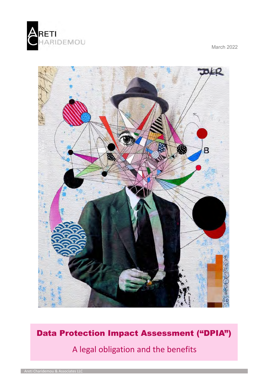

March 2022



Data Protection Impact Assessment ("DPIA")

A legal obligation and the benefits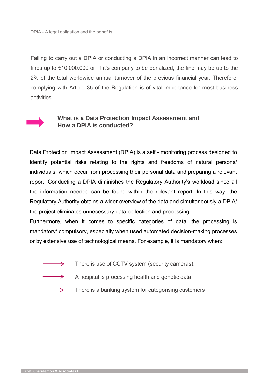Failing to carry out a DPIA or conducting a DPIA in an incorrect manner can lead to fines up to  $\epsilon$ 10.000.000 or, if it's company to be penalized, the fine may be up to the 2% of the total worldwide annual turnover of the previous financial year. Therefore, complying with Article 35 of the Regulation is of vital importance for most business activities.



## **What is a Data Protection Impact Assessment and How a DPIA is conducted?**

Data Protection Impact Assessment (DPIA) is a self - monitoring process designed to identify potential risks relating to the rights and freedoms of natural persons/ individuals, which occur from processing their personal data and preparing a relevant report. Conducting a DPIA diminishes the Regulatory Authority's workload since all the information needed can be found within the relevant report. In this way, the Regulatory Authority obtains a wider overview of the data and simultaneously a DPIA/ the project eliminates unnecessary data collection and processing.

Furthermore, when it comes to specific categories of data, the processing is mandatory/ compulsory, especially when used automated decision-making processes or by extensive use of technological means. For example, it is mandatory when:

- There is use of CCTV system (security cameras),  $\rightarrow$
- $\rightarrow$

 $\rightarrow$ 

- A hospital is processing health and genetic data
- There is a banking system for categorising customers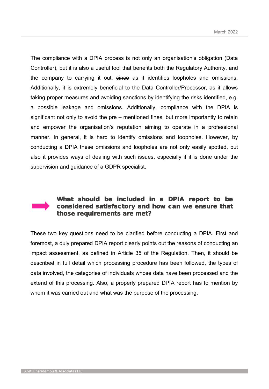The compliance with a DPIA process is not only an organisation's obligation (Data Controller), but it is also a useful tool that benefits both the Regulatory Authority, and the company to carrying it out, since as it identifies loopholes and omissions. Additionally, it is extremely beneficial to the Data Controller/Processor, as it allows taking proper measures and avoiding sanctions by identifying the risks identified, e.g. a possible leakage and omissions. Additionally, compliance with the DPIA is significant not only to avoid the pre – mentioned fines, but more importantly to retain and empower the organisation's reputation aiming to operate in a professional manner. In general, it is hard to identify omissions and loopholes. However, by conducting a DPIA these omissions and loopholes are not only easily spotted, but also it provides ways of dealing with such issues, especially if it is done under the supervision and guidance of a GDPR specialist.



## What should be included in a DPIA report to be considered satisfactory and how can we ensure that those requirements are met?

These two key questions need to be clarified before conducting a DPIA. First and foremost, a duly prepared DPIA report clearly points out the reasons of conducting an impact assessment, as defined in Article 35 of the Regulation. Then, it should be described in full detail which processing procedure has been followed, the types of data involved, the categories of individuals whose data have been processed and the extend of this processing. Also, a properly prepared DPIA report has to mention by whom it was carried out and what was the purpose of the processing.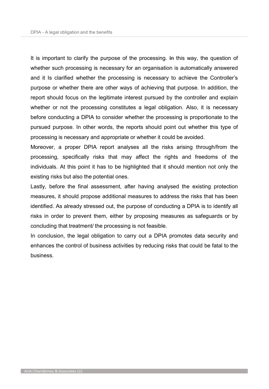It is important to clarify the purpose of the processing. In this way, the question of whether such processing is necessary for an organisation is automatically answered and it Is clarified whether the processing is necessary to achieve the Controller's purpose or whether there are other ways of achieving that purpose. In addition, the report should focus on the legitimate interest pursued by the controller and explain whether or not the processing constitutes a legal obligation. Also, it is necessary before conducting a DPIA to consider whether the processing is proportionate to the pursued purpose. In other words, the reports should point out whether this type of processing is necessary and appropriate or whether it could be avoided.

Moreover, a proper DPIA report analyses all the risks arising through/from the processing, specifically risks that may affect the rights and freedoms of the individuals. At this point it has to be highlighted that it should mention not only the existing risks but also the potential ones.

Lastly, before the final assessment, after having analysed the existing protection measures, it should propose additional measures to address the risks that has been identified. As already stressed out, the purpose of conducting a DPIA is to identify all risks in order to prevent them, either by proposing measures as safeguards or by concluding that treatment/ the processing is not feasible.

In conclusion, the legal obligation to carry out a DPIA promotes data security and enhances the control of business activities by reducing risks that could be fatal to the business.